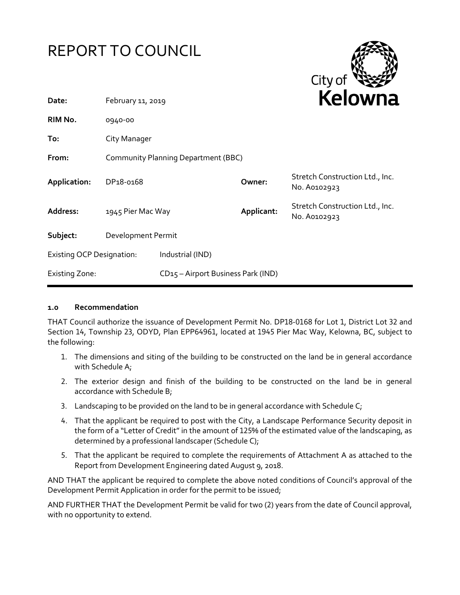



| Date:                            | February 11, 2019                          |                                                | REIUWIId   |                                                 |
|----------------------------------|--------------------------------------------|------------------------------------------------|------------|-------------------------------------------------|
| RIM No.                          | 0940-00                                    |                                                |            |                                                 |
| To:                              | City Manager                               |                                                |            |                                                 |
| From:                            | <b>Community Planning Department (BBC)</b> |                                                |            |                                                 |
| Application:                     | DP <sub>18-0168</sub>                      |                                                | Owner:     | Stretch Construction Ltd., Inc.<br>No. A0102923 |
| Address:                         | 1945 Pier Mac Way                          |                                                | Applicant: | Stretch Construction Ltd., Inc.<br>No. A0102923 |
| Subject:                         | Development Permit                         |                                                |            |                                                 |
| <b>Existing OCP Designation:</b> |                                            | Industrial (IND)                               |            |                                                 |
| <b>Existing Zone:</b>            |                                            | CD <sub>15</sub> - Airport Business Park (IND) |            |                                                 |

#### **1.0 Recommendation**

THAT Council authorize the issuance of Development Permit No. DP18-0168 for Lot 1, District Lot 32 and Section 14, Township 23, ODYD, Plan EPP64961, located at 1945 Pier Mac Way, Kelowna, BC, subject to the following:

- 1. The dimensions and siting of the building to be constructed on the land be in general accordance with Schedule A;
- 2. The exterior design and finish of the building to be constructed on the land be in general accordance with Schedule B;
- 3. Landscaping to be provided on the land to be in general accordance with Schedule C;
- 4. That the applicant be required to post with the City, a Landscape Performance Security deposit in the form of a "Letter of Credit" in the amount of 125% of the estimated value of the landscaping, as determined by a professional landscaper (Schedule C);
- 5. That the applicant be required to complete the requirements of Attachment A as attached to the Report from Development Engineering dated August 9, 2018.

AND THAT the applicant be required to complete the above noted conditions of Council's approval of the Development Permit Application in order for the permit to be issued;

AND FURTHER THAT the Development Permit be valid for two (2) years from the date of Council approval, with no opportunity to extend.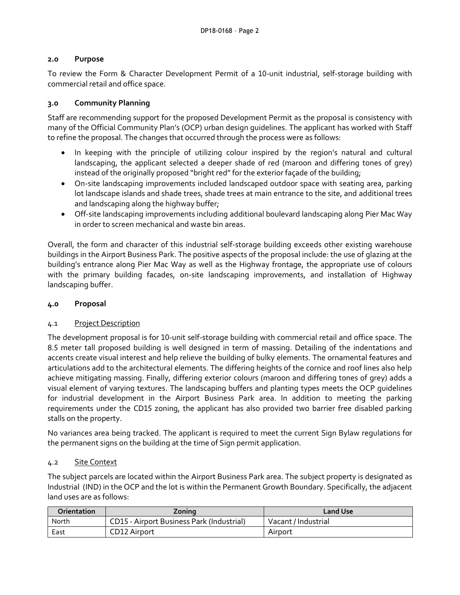### **2.0 Purpose**

To review the Form & Character Development Permit of a 10-unit industrial, self-storage building with commercial retail and office space.

### **3.0 Community Planning**

Staff are recommending support for the proposed Development Permit as the proposal is consistency with many of the Official Community Plan's (OCP) urban design guidelines. The applicant has worked with Staff to refine the proposal. The changes that occurred through the process were as follows:

- In keeping with the principle of utilizing colour inspired by the region's natural and cultural landscaping, the applicant selected a deeper shade of red (maroon and differing tones of grey) instead of the originally proposed "bright red"for the exterior façade of the building;
- On-site landscaping improvements included landscaped outdoor space with seating area, parking lot landscape islands and shade trees, shade trees at main entrance to the site, and additional trees and landscaping along the highway buffer;
- Off-site landscaping improvements including additional boulevard landscaping along Pier Mac Way in order to screen mechanical and waste bin areas.

Overall, the form and character of this industrial self-storage building exceeds other existing warehouse buildings in the Airport Business Park. The positive aspects of the proposal include: the use of glazing at the building's entrance along Pier Mac Way as well as the Highway frontage, the appropriate use of colours with the primary building facades, on-site landscaping improvements, and installation of Highway landscaping buffer.

### **4.0 Proposal**

### 4.1 Project Description

The development proposal is for 10-unit self-storage building with commercial retail and office space. The 8.5 meter tall proposed building is well designed in term of massing. Detailing of the indentations and accents create visual interest and help relieve the building of bulky elements. The ornamental features and articulations add to the architectural elements. The differing heights of the cornice and roof lines also help achieve mitigating massing. Finally, differing exterior colours (maroon and differing tones of grey) adds a visual element of varying textures. The landscaping buffers and planting types meets the OCP guidelines for industrial development in the Airport Business Park area. In addition to meeting the parking requirements under the CD15 zoning, the applicant has also provided two barrier free disabled parking stalls on the property.

No variances area being tracked. The applicant is required to meet the current Sign Bylaw regulations for the permanent signs on the building at the time of Sign permit application.

#### 4.2 Site Context

The subject parcels are located within the Airport Business Park area. The subject property is designated as Industrial (IND) in the OCP and the lot is within the Permanent Growth Boundary. Specifically, the adjacent land uses are as follows:

| Orientation | Zoning                                           | Land Use            |
|-------------|--------------------------------------------------|---------------------|
| North       | <b>CD15 - Airport Business Park (Industrial)</b> | Vacant / Industrial |
| East        | CD12 Airport                                     | Airport             |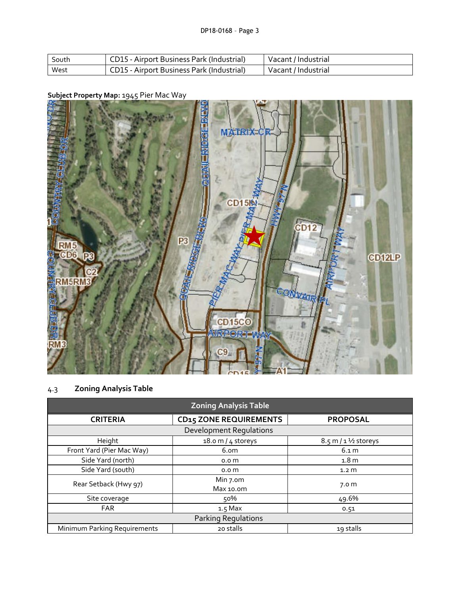| South | CD15 - Airport Business Park (Industrial) | Vacant / Industrial |
|-------|-------------------------------------------|---------------------|
| West  | CD15 - Airport Business Park (Industrial) | Vacant / Industrial |

# **Subject Property Map:** 1945 Pier Mac Way



# 4.3 **Zoning Analysis Table**

| <b>Zoning Analysis Table</b>   |                               |                                         |  |
|--------------------------------|-------------------------------|-----------------------------------------|--|
| <b>CRITERIA</b>                | <b>CD15 ZONE REQUIREMENTS</b> | <b>PROPOSAL</b>                         |  |
| <b>Development Requlations</b> |                               |                                         |  |
| Height                         | 18.0 m / $4$ storeys          | $8.5 \text{ m} / 1 \frac{1}{2}$ storeys |  |
| Front Yard (Pier Mac Way)      | 6.om                          | 6.1 m                                   |  |
| Side Yard (north)              | 0.0 <sub>m</sub>              | 1.8 <sub>m</sub>                        |  |
| Side Yard (south)              | 0.0 <sub>m</sub>              | 1.2 <sub>m</sub>                        |  |
| Rear Setback (Hwy 97)          | Min 7.om<br>Max 10.0m         | 7.0 <sub>m</sub>                        |  |
| Site coverage                  | 50%                           | 49.6%                                   |  |
| <b>FAR</b>                     | $1.5$ Max                     | 0.51                                    |  |
| Parking Regulations            |                               |                                         |  |
| Minimum Parking Requirements   | 20 stalls                     | 19 stalls                               |  |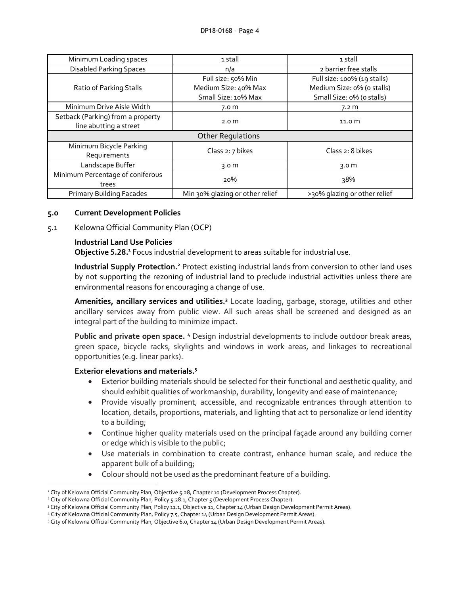| Minimum Loading spaces                                      | 1 stall                         | 1 stall                      |
|-------------------------------------------------------------|---------------------------------|------------------------------|
| <b>Disabled Parking Spaces</b>                              | n/a                             | 2 barrier free stalls        |
|                                                             | Full size: 50% Min              | Full size: 100% (19 stalls)  |
| Ratio of Parking Stalls                                     | Medium Size: 40% Max            | Medium Size: 0% (o stalls)   |
|                                                             | Small Size: 10% Max             | Small Size: 0% (o stalls)    |
| Minimum Drive Aisle Width                                   | 7.0 <sub>m</sub>                | 7.2 m                        |
| Setback (Parking) from a property<br>line abutting a street | 2.0 <sub>m</sub>                | 11.0 m                       |
| <b>Other Regulations</b>                                    |                                 |                              |
| Minimum Bicycle Parking<br>Requirements                     | Class 2: 7 bikes                | Class 2: 8 bikes             |
| Landscape Buffer                                            | 3.0 $m$                         | 3.0 <sub>m</sub>             |
| Minimum Percentage of coniferous                            | 20%                             | 38%                          |
| trees                                                       |                                 |                              |
| <b>Primary Building Facades</b>                             | Min 30% glazing or other relief | >30% glazing or other relief |

#### **5.0 Current Development Policies**

5.1 Kelowna Official Community Plan (OCP)

### **Industrial Land Use Policies**

**Objective 5.28.<sup>1</sup>** Focus industrial development to areas suitable for industrial use.

**Industrial Supply Protection.<sup>2</sup>** Protect existing industrial lands from conversion to other land uses by not supporting the rezoning of industrial land to preclude industrial activities unless there are environmental reasons for encouraging a change of use.

**Amenities, ancillary services and utilities. <sup>3</sup>** Locate loading, garbage, storage, utilities and other ancillary services away from public view. All such areas shall be screened and designed as an integral part of the building to minimize impact.

**Public and private open space. <sup>4</sup>** Design industrial developments to include outdoor break areas, green space, bicycle racks, skylights and windows in work areas, and linkages to recreational opportunities (e.g. linear parks).

### **Exterior elevations and materials. 5**

-

- Exterior building materials should be selected for their functional and aesthetic quality, and should exhibit qualities of workmanship, durability, longevity and ease of maintenance;
- Provide visually prominent, accessible, and recognizable entrances through attention to location, details, proportions, materials, and lighting that act to personalize or lend identity to a building;
- Continue higher quality materials used on the principal façade around any building corner or edge which is visible to the public;
- Use materials in combination to create contrast, enhance human scale, and reduce the apparent bulk of a building;
- Colour should not be used as the predominant feature of a building.

<sup>&</sup>lt;sup>1</sup> City of Kelowna Official Community Plan, Objective 5.28, Chapter 10 (Development Process Chapter).

<sup>&</sup>lt;sup>2</sup> City of Kelowna Official Community Plan, Policy 5.28.1, Chapter 5 (Development Process Chapter).

<sup>&</sup>lt;sup>3</sup> City of Kelowna Official Community Plan, Policy 11.1, Objective 11, Chapter 14 (Urban Design Development Permit Areas).

<sup>4</sup> City of Kelowna Official Community Plan, Policy 7.5, Chapter 14 (Urban Design Development Permit Areas).

<sup>5</sup> City of Kelowna Official Community Plan, Objective 6.0, Chapter 14 (Urban Design Development Permit Areas).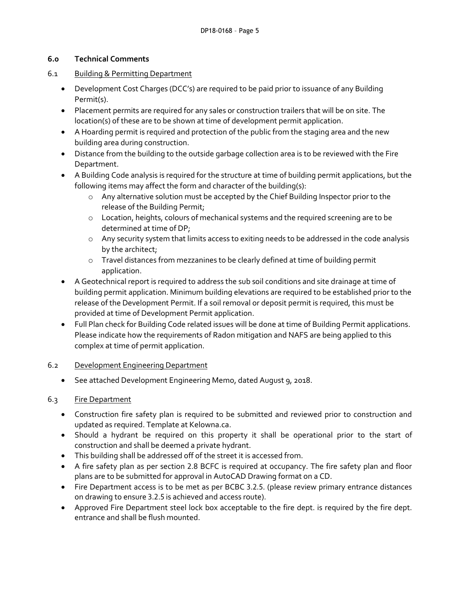### **6.0 Technical Comments**

- 6.1 Building & Permitting Department
	- Development Cost Charges (DCC's) are required to be paid prior to issuance of any Building Permit(s).
	- Placement permits are required for any sales or construction trailers that will be on site. The location(s) of these are to be shown at time of development permit application.
	- A Hoarding permit is required and protection of the public from the staging area and the new building area during construction.
	- Distance from the building to the outside garbage collection area is to be reviewed with the Fire Department.
	- A Building Code analysis is required for the structure at time of building permit applications, but the following items may affect the form and character of the building(s):
		- o Any alternative solution must be accepted by the Chief Building Inspector prior to the release of the Building Permit;
		- o Location, heights, colours of mechanical systems and the required screening are to be determined at time of DP;
		- o Any security system that limits access to exiting needs to be addressed in the code analysis by the architect;
		- o Travel distances from mezzanines to be clearly defined at time of building permit application.
	- A Geotechnical report is required to address the sub soil conditions and site drainage at time of building permit application. Minimum building elevations are required to be established prior to the release of the Development Permit. If a soil removal or deposit permit is required, this must be provided at time of Development Permit application.
	- Full Plan check for Building Code related issues will be done at time of Building Permit applications. Please indicate how the requirements of Radon mitigation and NAFS are being applied to this complex at time of permit application.

# 6.2 Development Engineering Department

See attached Development Engineering Memo, dated August 9, 2018.

# 6.3 Fire Department

- Construction fire safety plan is required to be submitted and reviewed prior to construction and updated as required. Template at Kelowna.ca.
- Should a hydrant be required on this property it shall be operational prior to the start of construction and shall be deemed a private hydrant.
- This building shall be addressed off of the street it is accessed from.
- A fire safety plan as per section 2.8 BCFC is required at occupancy. The fire safety plan and floor plans are to be submitted for approval in AutoCAD Drawing format on a CD.
- Fire Department access is to be met as per BCBC 3.2.5. (please review primary entrance distances on drawing to ensure 3.2.5 is achieved and access route).
- Approved Fire Department steel lock box acceptable to the fire dept. is required by the fire dept. entrance and shall be flush mounted.